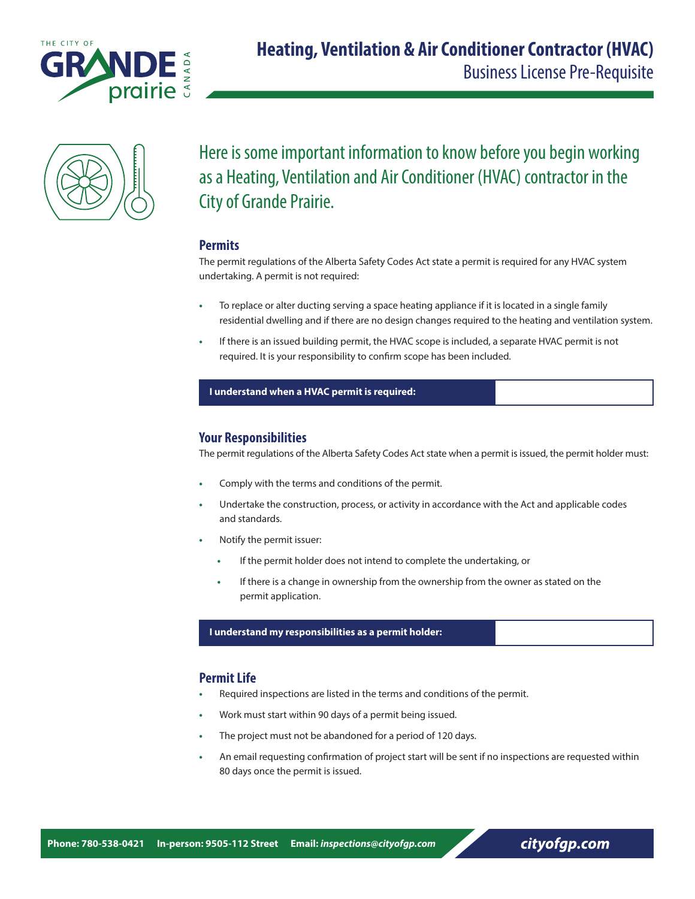



Here is some important information to know before you begin working as a Heating, Ventilation and Air Conditioner (HVAC) contractor in the City of Grande Prairie.

## **Permits**

The permit regulations of the Alberta Safety Codes Act state a permit is required for any HVAC system undertaking. A permit is not required:

- **•** To replace or alter ducting serving a space heating appliance if it is located in a single family residential dwelling and if there are no design changes required to the heating and ventilation system.
- **•** If there is an issued building permit, the HVAC scope is included, a separate HVAC permit is not required. It is your responsibility to confirm scope has been included.

### **I understand when a HVAC permit is required:**

# **Your Responsibilities**

The permit regulations of the Alberta Safety Codes Act state when a permit is issued, the permit holder must:

- **•** Comply with the terms and conditions of the permit.
- **•** Undertake the construction, process, or activity in accordance with the Act and applicable codes and standards.
- **•** Notify the permit issuer:
	- **•** If the permit holder does not intend to complete the undertaking, or
	- **•** If there is a change in ownership from the ownership from the owner as stated on the permit application.

#### **I understand my responsibilities as a permit holder:**

## **Permit Life**

- **•** Required inspections are listed in the terms and conditions of the permit.
- **•** Work must start within 90 days of a permit being issued.
- **•** The project must not be abandoned for a period of 120 days.
- **•** An email requesting confirmation of project start will be sent if no inspections are requested within 80 days once the permit is issued.